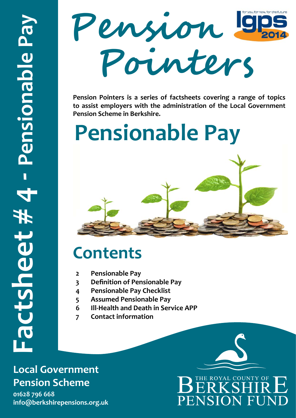

**Pension Pointers is a series of factsheets covering a range of topics to assist employers with the administration of the Local Government Pension Scheme in Berkshire.** 

# **Pensionable Pay**

### **Contents**

- **2 Pensionable Pay**
- **3 Definition of Pensionable Pay**
- **4 Pensionable Pay Checklist**
- **5 Assumed Pensionable Pay**
- **6 Ill-Health and Death in Service APP**
- **7 Contact information**

#### **Local Government Pension Scheme**

**01628 796 668** 

## THE ROYAL COUNTY OF PENSION FUNI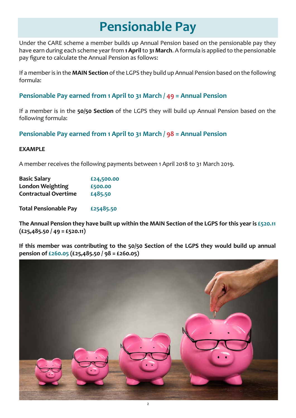### **Pensionable Pay**

Under the CARE scheme a member builds up Annual Pension based on the pensionable pay they have earn during each scheme year from **1 April** to **31 March**. A formula is applied to the pensionable pay figure to calculate the Annual Pension as follows:

If a member is in the **MAIN Section** of the LGPS they build up Annual Pension based on the following formula:

#### **Pensionable Pay earned from 1 April to 31 March / 49 = Annual Pension**

If a member is in the **50/50 Section** of the LGPS they will build up Annual Pension based on the following formula:

**Pensionable Pay earned from 1 April to 31 March / 98 = Annual Pension** 

#### **EXAMPLE**

A member receives the following payments between 1 April 2018 to 31 March 2019.

| <b>Basic Salary</b>         | £24,500.00 |
|-----------------------------|------------|
| <b>London Weighting</b>     | £500.00    |
| <b>Contractual Overtime</b> | £485.50    |
|                             |            |

**Total Pensionable Pay £25485.50**

**The Annual Pension they have built up within the MAIN Section of the LGPS for this year is £520.11 (£25,485.50 / 49 = £520.11)**

**If this member was contributing to the 50/50 Section of the LGPS they would build up annual pension of £260.05 (£25,485.50 / 98 = £260.05)** 

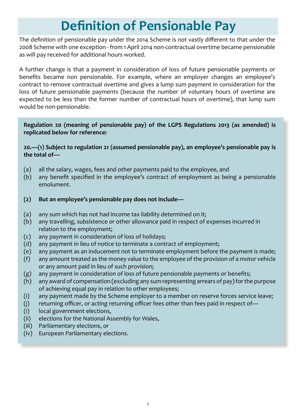### **Definition of Pensionable Pay**

The definition of pensionable pay under the 2014 Scheme is not vastly different to that under the 2008 Scheme with one exception - from 1 April 2014 non-contractual overtime became pensionable as will pay received for additional hours worked.

A further change is that a payment in consideration of loss of future pensionable payments or benefits became non pensionable. For example, where an employer changes an employee's contract to remove contractual overtime and gives a lump sum payment in consideration for the loss of future pensionable payments (because the number of voluntary hours of overtime are expected to be less than the former number of contractual hours of overtime), that lump sum would be non-pensionable.

#### **Regulation 20 (meaning of pensionable pay) of the LGPS Regulations 2013 (as amended) is replicated below for reference:**

**20.—(1) Subject to regulation 21 (assumed pensionable pay), an employee's pensionable pay is the total of—**

- (a) all the salary, wages, fees and other payments paid to the employee, and
- (b) any benefit specified in the employee's contract of employment as being a pensionable emolument.
- **(2) But an employee's pensionable pay does not include—**
- (a) any sum which has not had income tax liability determined on it;
- (b) any travelling, subsistence or other allowance paid in respect of expenses incurred in relation to the employment;
- (c) any payment in consideration of loss of holidays;
- (d) any payment in lieu of notice to terminate a contract of employment;
- (e) any payment as an inducement not to terminate employment before the payment is made;
- (f) any amount treated as the money value to the employee of the provision of a motor vehicle or any amount paid in lieu of such provision;
- (g) any payment in consideration of loss of future pensionable payments or benefits;
- (h) any award of compensation (excluding any sum representing arrears of pay) for the purpose of achieving equal pay in relation to other employees;
- (i) any payment made by the Scheme employer to a member on reserve forces service leave;
- (j) returning officer, or acting returning officer fees other than fees paid in respect of—
- (i) local government elections,
- (ii) elections for the National Assembly for Wales,
- (iii) Parliamentary elections, or
- (iv) European Parliamentary elections.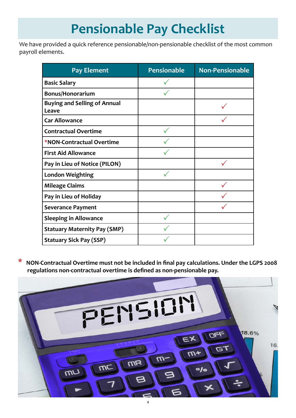### **Pensionable Pay Checklist**

We have provided a quick reference pensionable/non-pensionable checklist of the most common payroll elements.

| <b>Pay Element</b>                           | <b>Pensionable</b> | <b>Non-Pensionable</b> |
|----------------------------------------------|--------------------|------------------------|
| <b>Basic Salary</b>                          |                    |                        |
| <b>Bonus/Honorarium</b>                      |                    |                        |
| <b>Buying and Selling of Annual</b><br>Leave |                    |                        |
| <b>Car Allowance</b>                         |                    |                        |
| <b>Contractual Overtime</b>                  |                    |                        |
| *NON-Contractual Overtime                    |                    |                        |
| <b>First Aid Allowance</b>                   |                    |                        |
| Pay in Lieu of Notice (PILON)                |                    |                        |
| <b>London Weighting</b>                      |                    |                        |
| <b>Mileage Claims</b>                        |                    |                        |
| Pay in Lieu of Holiday                       |                    |                        |
| <b>Severance Payment</b>                     |                    |                        |
| <b>Sleeping in Allowance</b>                 |                    |                        |
| <b>Statuary Maternity Pay (SMP)</b>          |                    |                        |
| <b>Statuary Sick Pay (SSP)</b>               |                    |                        |

**\* NON-Contractual Overtime must not be included in final pay calculations. Under the LGPS <sup>2008</sup> regulations non-contractual overtime is defined as non-pensionable pay.**

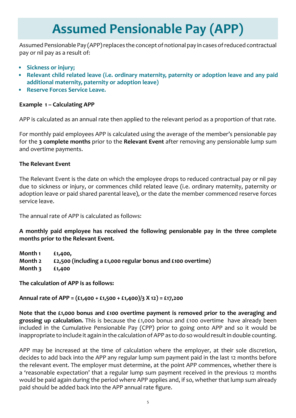### **Assumed Pensionable Pay (APP)**

Assumed Pensionable Pay (APP) replaces the concept of notional pay in cases of reduced contractual pay or nil pay as a result of:

- **• Sickness or injury;**
- **• Relevant child related leave (i.e. ordinary maternity, paternity or adoption leave and any paid additional maternity, paternity or adoption leave)**
- **• Reserve Forces Service Leave.**

#### **Example 1 – Calculating APP**

APP is calculated as an annual rate then applied to the relevant period as a proportion of that rate.

For monthly paid employees APP is calculated using the average of the member's pensionable pay for the **3 complete months** prior to the **Relevant Event** after removing any pensionable lump sum and overtime payments.

#### **The Relevant Event**

The Relevant Event is the date on which the employee drops to reduced contractual pay or nil pay due to sickness or injury, or commences child related leave (i.e. ordinary maternity, paternity or adoption leave or paid shared parental leave), or the date the member commenced reserve forces service leave.

The annual rate of APP is calculated as follows:

**A monthly paid employee has received the following pensionable pay in the three complete months prior to the Relevant Event.**

**Month 1 £1,400, Month 2 £2,500 (including a £1,000 regular bonus and £100 overtime) Month 3 £1,400**

**The calculation of APP is as follows:**

**Annual rate of APP = (£1,400 + £1,500 + £1,400)/3 X 12) = £17,200**

**Note that the £1,000 bonus and £100 overtime payment is removed prior to the averaging and grossing up calculation.** This is because the £1,000 bonus and £100 overtime have already been included in the Cumulative Pensionable Pay (CPP) prior to going onto APP and so it would be inappropriate to include it again in the calculation of APP as to do so would result in double counting.

APP may be increased at the time of calculation where the employer, at their sole discretion, decides to add back into the APP any regular lump sum payment paid in the last 12 months before the relevant event. The employer must determine, at the point APP commences, whether there is a 'reasonable expectation' that a regular lump sum payment received in the previous 12 months would be paid again during the period where APP applies and, if so, whether that lump sum already paid should be added back into the APP annual rate figure.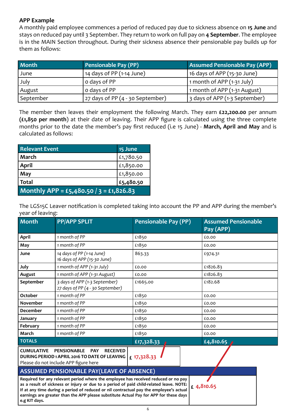#### **APP Example**

A monthly paid employee commences a period of reduced pay due to sickness absence on **15 June** and stays on reduced pay until 3 September. They return to work on full pay on **4 September**. The employee is in the MAIN Section throughout. During their sickness absence their pensionable pay builds up for them as follows:

| <b>Month</b> | Pensionable Pay (PP)             | <b>Assumed Pensionable Pay (APP)</b> |
|--------------|----------------------------------|--------------------------------------|
| June         | 14 days of PP $(1-14$ June)      | 16 days of APP (15-30 June)          |
| July         | o days of PP                     | 1 month of APP $(1-31$ July)         |
| August       | o days of PP                     | 1 month of APP (1-31 August)         |
| September    | 27 days of PP (4 - 30 September) | 3 days of APP (1-3 September)        |

The member then leaves their employment the following March. They earn **£22,200.00** per annum **(£1,850 per month**) at their date of leaving. Their APP figure is calculated using the three complete months prior to the date the member's pay first reduced (i.e 15 June) - **March, April and May** and is calculated as follows:

| <b>Relevant Event</b>                   | 15 June   |
|-----------------------------------------|-----------|
| l March                                 | £1,780.50 |
| <b>April</b>                            | £1,850.00 |
| May                                     | £1,850.00 |
| <b>Total</b>                            | £5,480.50 |
| Monthly APP = £5,480.50 / 3 = £1,826.83 |           |

The LGS15C Leaver notification is completed taking into account the PP and APP during the member's year of leaving:

| <b>Month</b>      | <b>PP/APP SPLIT</b>                                                                                                                                                                                                                                                                                                                                              | <b>Pensionable Pay (PP)</b> | <b>Assumed Pensionable</b><br>Pay (APP) |
|-------------------|------------------------------------------------------------------------------------------------------------------------------------------------------------------------------------------------------------------------------------------------------------------------------------------------------------------------------------------------------------------|-----------------------------|-----------------------------------------|
| <b>April</b>      | 1 month of PP                                                                                                                                                                                                                                                                                                                                                    | £1850                       | £0.00                                   |
| May               | 1 month of PP                                                                                                                                                                                                                                                                                                                                                    | £1850                       | £0.00                                   |
| June              | 14 days of PP (1-14 June)<br>16 days of APP (15-30 June)                                                                                                                                                                                                                                                                                                         | 863.33                      | £974.31                                 |
| July              | 1 month of APP (1-31 July)                                                                                                                                                                                                                                                                                                                                       | £0.00                       | £1826.83                                |
| August            | 1 month of APP (1-31 August)                                                                                                                                                                                                                                                                                                                                     | £0.00                       | £1826.83                                |
| September         | 3 days of APP (1-3 September)<br>27 days of PP (4 - 30 September)                                                                                                                                                                                                                                                                                                | £1665.00                    | £182.68                                 |
| October           | 1 month of PP                                                                                                                                                                                                                                                                                                                                                    | £1850                       | £0.00                                   |
| <b>November</b>   | 1 month of PP                                                                                                                                                                                                                                                                                                                                                    | £1850                       | £0.00                                   |
| <b>December</b>   | 1 month of PP                                                                                                                                                                                                                                                                                                                                                    | £1850                       | £0.00                                   |
| January           | 1 month of PP                                                                                                                                                                                                                                                                                                                                                    | £1850                       | £0.00                                   |
| February          | 1 month of PP                                                                                                                                                                                                                                                                                                                                                    | £1850                       | £0.00                                   |
| March             | 1 month of PP                                                                                                                                                                                                                                                                                                                                                    | £1850                       | £0.00                                   |
| <b>TOTALS</b>     |                                                                                                                                                                                                                                                                                                                                                                  | £17,328.33                  | £4,810.65                               |
| <b>CUMULATIVE</b> | <b>PENSIONABLE</b><br><b>PAY</b><br><b>RECEIVED</b><br>DURING PERIOD 1 APRIL 2016 TO DATE OF LEAVING<br>Please do not include APP figure here                                                                                                                                                                                                                    | £ 17,328.33                 |                                         |
|                   | <b>ASSUMED PENSIONABLE PAY(LEAVE OF ABSENCE)</b>                                                                                                                                                                                                                                                                                                                 |                             |                                         |
| e.g KIT days.     | Required for any relevant period where the employee has received reduced or no pay<br>as a result of sickness or injury or due to a period of paid child-related leave. NOTE:<br>If at any time during a period of reduced or nil contractual pay the employee's actual<br>earnings are greater than the APP please substitute Actual Pay for APP for these days |                             | £4,810.65                               |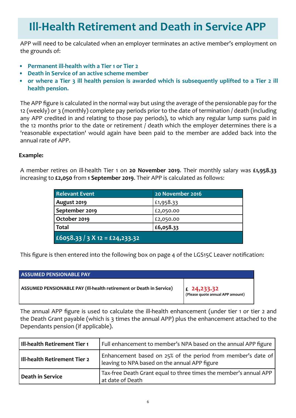#### **Ill-Health Retirement and Death in Service APP**

APP will need to be calculated when an employer terminates an active member's employment on the grounds of:

- **• Permanent ill-health with a Tier 1 or Tier 2**
- **• Death in Service of an active scheme member**
- **• or where a Tier 3 ill health pension is awarded which is subsequently uplifted to a Tier 2 ill health pension.**

The APP figure is calculated in the normal way but using the average of the pensionable pay for the 12 (weekly) or 3 (monthly) complete pay periods prior to the date of termination / death (including any APP credited in and relating to those pay periods), to which any regular lump sums paid in the 12 months prior to the date or retirement / death which the employer determines there is a 'reasonable expectation' would again have been paid to the member are added back into the annual rate of APP.

#### **Example:**

A member retires on ill-health Tier 1 on **20 November 2019**. Their monthly salary was **£1,958.33** increasing to **£2,050** from **1 September 2019**. Their APP is calculated as follows:

| <b>Relevant Event</b>          | 20 November 2016 |
|--------------------------------|------------------|
| August 2019                    | £1,958.33        |
| September 2019                 | £2,050.00        |
| October 2019                   | £2,050.00        |
| Total                          | £6,058.33        |
| £6058.33 / 3 X 12 = £24,233.32 |                  |

This figure is then entered into the following box on page 4 of the LGS15C Leaver notification:

| <b>ASSUMED PENSIONABLE PAY</b>                                      |                                                                                                        |
|---------------------------------------------------------------------|--------------------------------------------------------------------------------------------------------|
| ASSUMED PENSIONABLE PAY (III-health retirement or Death in Service) | $\left  \begin{array}{cc} 2 & 2 & 4 \\ 1 & 2 & 3 \end{array} \right $ (Please quote annual APP amount) |

The annual APP figure is used to calculate the ill-health enhancement (under tier 1 or tier 2 and the Death Grant payable (which is 3 times the annual APP) plus the enhancement attached to the Dependants pension (if applicable).

| III-health Retirement Tier 1 | Full enhancement to member's NPA based on the annual APP figure                                               |
|------------------------------|---------------------------------------------------------------------------------------------------------------|
| III-health Retirement Tier 2 | Enhancement based on 25% of the period from member's date of<br>leaving to NPA based on the annual APP figure |
| Death in Service             | Tax-free Death Grant equal to three times the member's annual APP<br>at date of Death                         |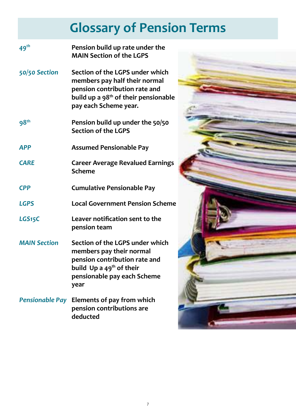### **Glossary of Pension Terms**

| 49 <sup>th</sup>       | Pension build up rate under the<br><b>MAIN Section of the LGPS</b>                                                                                                             |  |
|------------------------|--------------------------------------------------------------------------------------------------------------------------------------------------------------------------------|--|
| 50/50 Section          | Section of the LGPS under which<br>members pay half their normal<br>pension contribution rate and<br>build up a 98 <sup>th</sup> of their pensionable<br>pay each Scheme year. |  |
| 98 <sup>th</sup>       | Pension build up under the 50/50<br><b>Section of the LGPS</b>                                                                                                                 |  |
| <b>APP</b>             | <b>Assumed Pensionable Pay</b>                                                                                                                                                 |  |
| <b>CARE</b>            | <b>Career Average Revalued Earnings</b><br><b>Scheme</b>                                                                                                                       |  |
| <b>CPP</b>             | <b>Cumulative Pensionable Pay</b>                                                                                                                                              |  |
| <b>LGPS</b>            | <b>Local Government Pension Scheme</b>                                                                                                                                         |  |
| LGS <sub>15</sub> C    | Leaver notification sent to the<br>pension team                                                                                                                                |  |
| <b>MAIN Section</b>    | Section of the LGPS under which<br>members pay their normal<br>pension contribution rate and<br>build Up a $49th$ of their<br>pensionable pay each Scheme<br>year              |  |
| <b>Pensionable Pay</b> | Elements of pay from which<br>pension contributions are<br>deducted                                                                                                            |  |